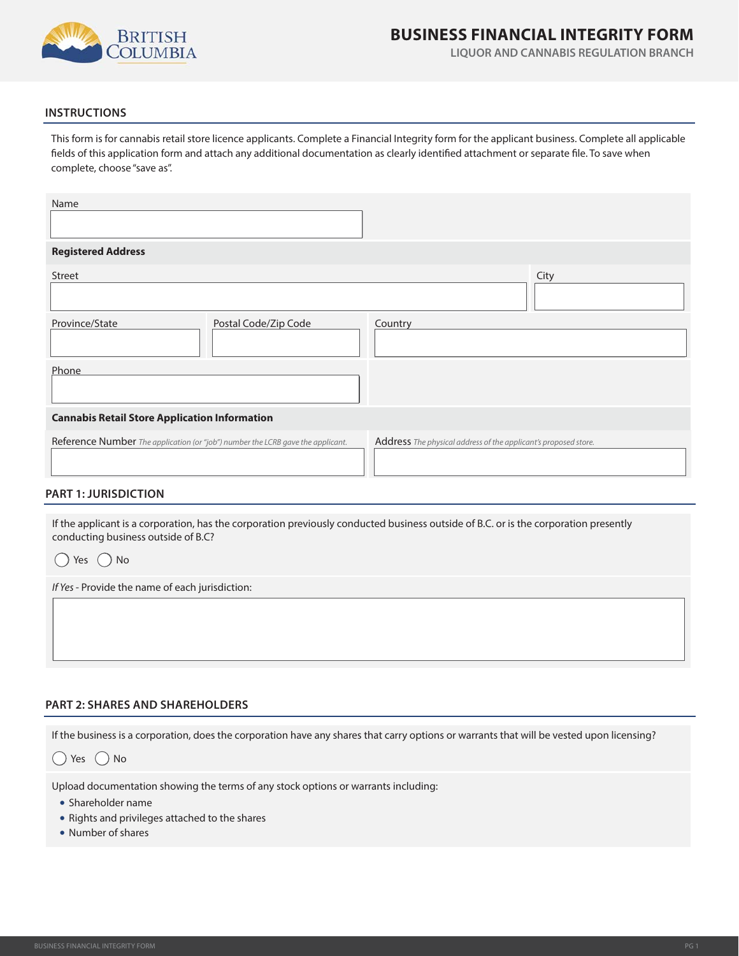

# **BUSINESS FINANCIAL INTEGRITY FORM**

**LIQUOR AND CANNABIS REGULATION BRANCH**

# **INSTRUCTIONS**

This form is for cannabis retail store licence applicants. Complete a Financial Integrity form for the applicant business. Complete all applicable fields of this application form and attach any additional documentation as clearly identified attachment or separate file. To save when complete, choose "save as".

| Name                                                                            |                      |                                                                 |      |  |
|---------------------------------------------------------------------------------|----------------------|-----------------------------------------------------------------|------|--|
|                                                                                 |                      |                                                                 |      |  |
| <b>Registered Address</b>                                                       |                      |                                                                 |      |  |
| Street                                                                          |                      |                                                                 | City |  |
|                                                                                 |                      |                                                                 |      |  |
| Province/State                                                                  | Postal Code/Zip Code | Country                                                         |      |  |
| Phone                                                                           |                      |                                                                 |      |  |
| <b>Cannabis Retail Store Application Information</b>                            |                      |                                                                 |      |  |
| Reference Number The application (or "job") number the LCRB gave the applicant. |                      | Address The physical address of the applicant's proposed store. |      |  |

#### **PART 1: JURISDICTION**

If the applicant is a corporation, has the corporation previously conducted business outside of B.C. or is the corporation presently conducting business outside of B.C?

| Yes | ) No |
|-----|------|
|     |      |

If Yes - Provide the name of each jurisdiction:

#### **PART 2: SHARES AND SHAREHOLDERS**

If the business is a corporation, does the corporation have any shares that carry options or warrants that will be vested upon licensing?

 $()$  Yes  $()$  No

Upload documentation showing the terms of any stock options or warrants including:

- Shareholder name
- Rights and privileges attached to the shares
- Number of shares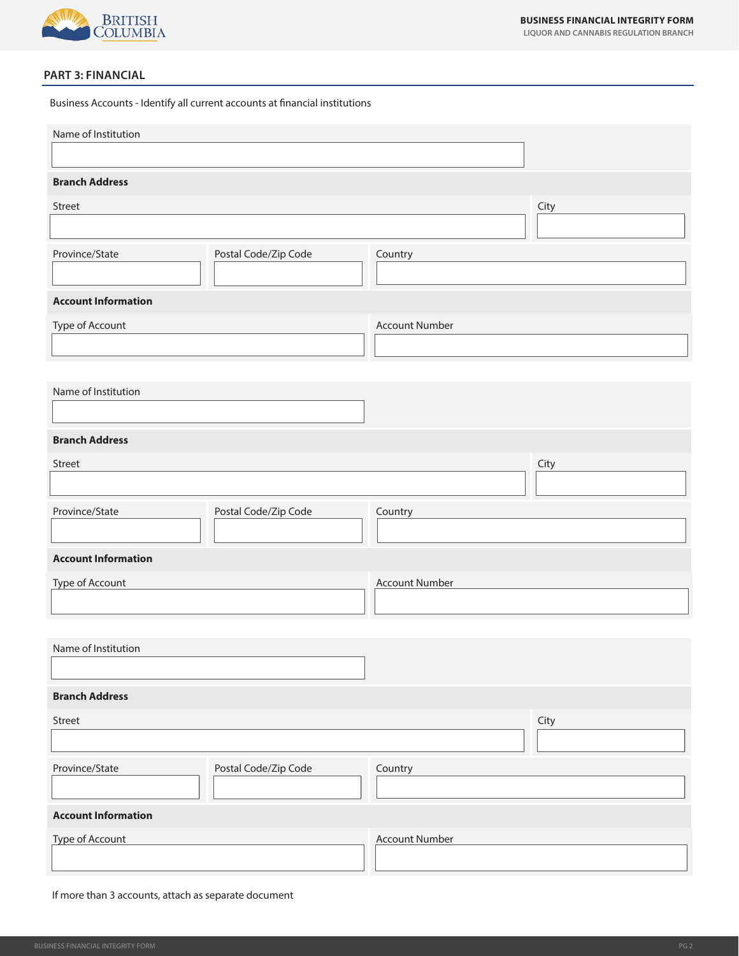

**LIQUOR AND CANNABIS REGULATION BRANCH**

## **PART 3: FINANCIAL**

Business Accounts - Identify all current accounts at financial institutions

| Name of Institution        |                      |                       |      |
|----------------------------|----------------------|-----------------------|------|
| <b>Branch Address</b>      |                      |                       |      |
| Street                     |                      |                       | City |
|                            |                      |                       |      |
| Province/State             | Postal Code/Zip Code | Country               |      |
|                            |                      |                       |      |
| <b>Account Information</b> |                      |                       |      |
| Type of Account            |                      | <b>Account Number</b> |      |
|                            |                      |                       |      |
| Name of Institution        |                      |                       |      |
|                            |                      |                       |      |
| <b>Branch Address</b>      |                      |                       |      |
| Street                     |                      |                       | City |
|                            |                      |                       |      |
| Province/State             | Postal Code/Zip Code | Country               |      |
|                            |                      |                       |      |
| <b>Account Information</b> |                      |                       |      |
| Type of Account            |                      | <b>Account Number</b> |      |
|                            |                      |                       |      |
| Name of Institution        |                      |                       |      |
|                            |                      |                       |      |
| <b>Branch Address</b>      |                      |                       |      |
| Street                     |                      |                       | City |
|                            |                      |                       |      |
| Province/State             | Postal Code/Zip Code | Country               |      |
|                            |                      |                       |      |
| <b>Account Information</b> |                      |                       |      |
| <b>Type of Account</b>     |                      | <b>Account Number</b> |      |
|                            |                      |                       |      |

If more than 3 accounts, attach as separate document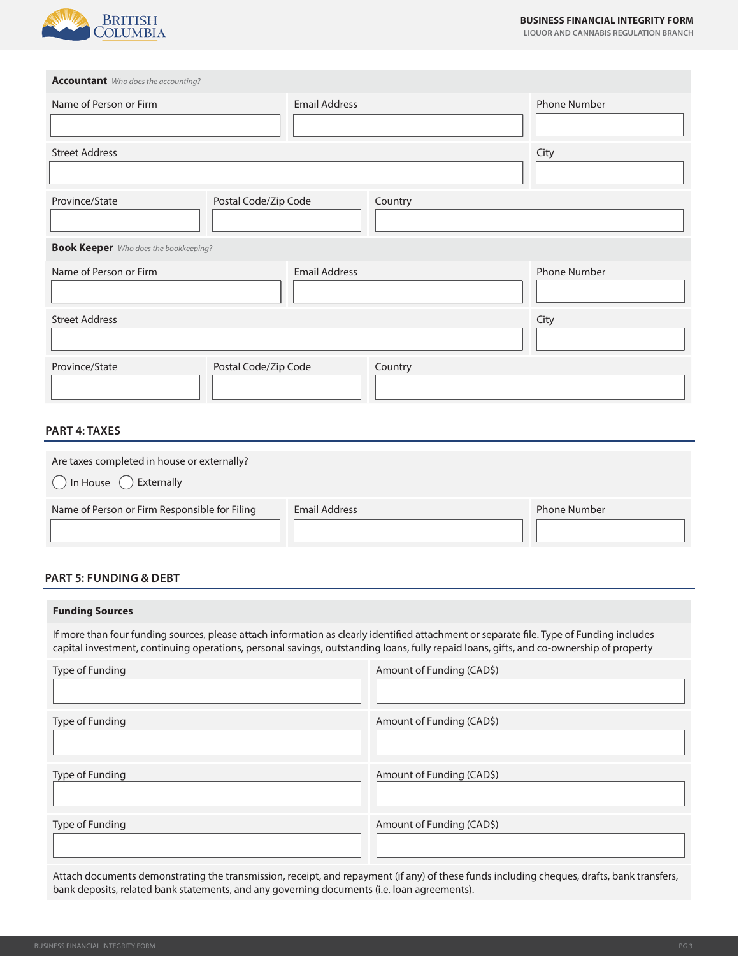

**LIQUOR AND CANNABIS REGULATION BRANCH**

**Accountant** Who does the accounting?

| Name of Person or Firm | <b>Email Address</b>                         |         | Phone Number        |  |
|------------------------|----------------------------------------------|---------|---------------------|--|
| <b>Street Address</b>  |                                              |         | City                |  |
| Province/State         | Postal Code/Zip Code                         | Country |                     |  |
|                        | <b>Book Keeper</b> Who does the bookkeeping? |         |                     |  |
| Name of Person or Firm | <b>Email Address</b>                         |         | <b>Phone Number</b> |  |
| <b>Street Address</b>  |                                              |         | City                |  |
| Province/State         | Postal Code/Zip Code                         | Country |                     |  |

### **PART 4: TAXES**

| Are taxes completed in house or externally?<br>$\bigcap$ In House $\bigcap$ Externally |                      |                     |
|----------------------------------------------------------------------------------------|----------------------|---------------------|
| Name of Person or Firm Responsible for Filing                                          | <b>Email Address</b> | <b>Phone Number</b> |

# **PART 5: FUNDING & DEBT**

#### **Funding Sources**

If more than four funding sources, please attach information as clearly identified attachment or separate file. Type of Funding includes capital investment, continuing operations, personal savings, outstanding loans, fully repaid loans, gifts, and co-ownership of property

| Type of Funding | Amount of Funding (CAD\$) |
|-----------------|---------------------------|
| Type of Funding | Amount of Funding (CAD\$) |
| Type of Funding | Amount of Funding (CAD\$) |
| Type of Funding | Amount of Funding (CAD\$) |

Attach documents demonstrating the transmission, receipt, and repayment (if any) of these funds including cheques, drafts, bank transfers, bank deposits, related bank statements, and any governing documents (i.e. loan agreements).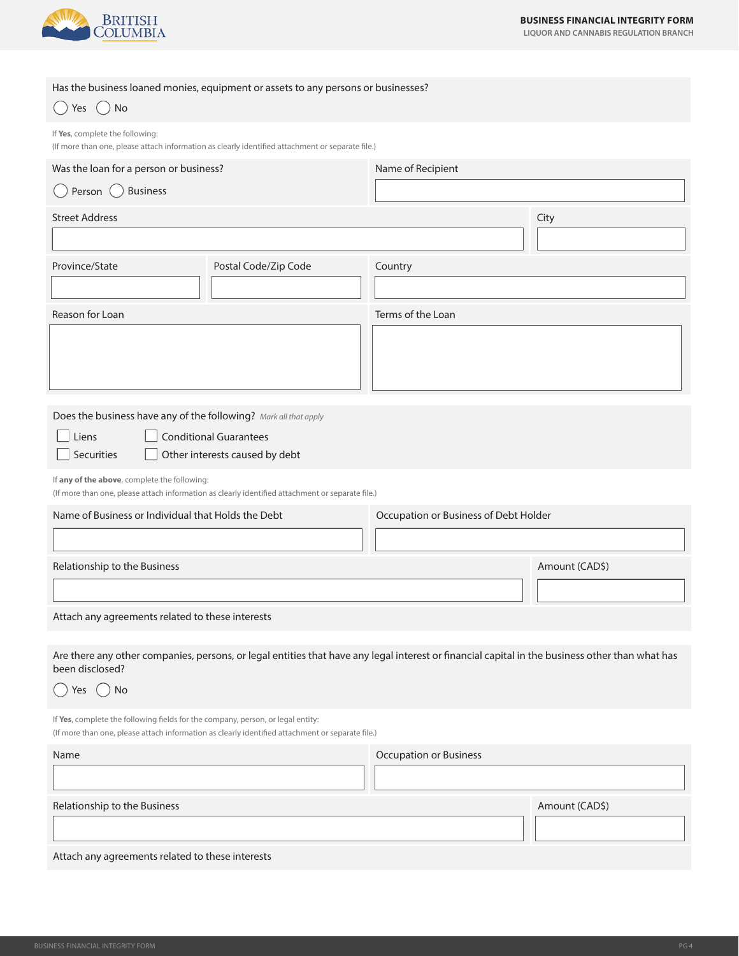

**LIQUOR AND CANNABIS REGULATION BRANCH**

|                                                                                             | Has the business loaned monies, equipment or assets to any persons or businesses?                                                               |                               |                |
|---------------------------------------------------------------------------------------------|-------------------------------------------------------------------------------------------------------------------------------------------------|-------------------------------|----------------|
| No<br>Yes                                                                                   |                                                                                                                                                 |                               |                |
| If Yes, complete the following:                                                             | (If more than one, please attach information as clearly identified attachment or separate file.)                                                |                               |                |
| Was the loan for a person or business?                                                      |                                                                                                                                                 | Name of Recipient             |                |
| <b>Business</b><br>Person $()$                                                              |                                                                                                                                                 |                               |                |
| <b>Street Address</b>                                                                       |                                                                                                                                                 |                               | City           |
|                                                                                             |                                                                                                                                                 |                               |                |
| Province/State                                                                              | Postal Code/Zip Code                                                                                                                            | Country                       |                |
|                                                                                             |                                                                                                                                                 |                               |                |
| Reason for Loan                                                                             |                                                                                                                                                 | Terms of the Loan             |                |
|                                                                                             |                                                                                                                                                 |                               |                |
|                                                                                             |                                                                                                                                                 |                               |                |
| Does the business have any of the following? Mark all that apply                            |                                                                                                                                                 |                               |                |
| Liens                                                                                       | <b>Conditional Guarantees</b>                                                                                                                   |                               |                |
| Securities                                                                                  | Other interests caused by debt                                                                                                                  |                               |                |
| If any of the above, complete the following:                                                | (If more than one, please attach information as clearly identified attachment or separate file.)                                                |                               |                |
| Name of Business or Individual that Holds the Debt<br>Occupation or Business of Debt Holder |                                                                                                                                                 |                               |                |
|                                                                                             |                                                                                                                                                 |                               |                |
| Relationship to the Business                                                                |                                                                                                                                                 |                               | Amount (CAD\$) |
|                                                                                             |                                                                                                                                                 |                               |                |
| Attach any agreements related to these interests                                            |                                                                                                                                                 |                               |                |
| been disclosed?                                                                             | Are there any other companies, persons, or legal entities that have any legal interest or financial capital in the business other than what has |                               |                |
| No<br>Yes                                                                                   |                                                                                                                                                 |                               |                |
| If Yes, complete the following fields for the company, person, or legal entity:             | (If more than one, please attach information as clearly identified attachment or separate file.)                                                |                               |                |
| Name                                                                                        |                                                                                                                                                 | <b>Occupation or Business</b> |                |
|                                                                                             |                                                                                                                                                 |                               |                |
| Relationship to the Business                                                                |                                                                                                                                                 |                               | Amount (CAD\$) |
|                                                                                             |                                                                                                                                                 |                               |                |
| Attach any agreements related to these interests                                            |                                                                                                                                                 |                               |                |